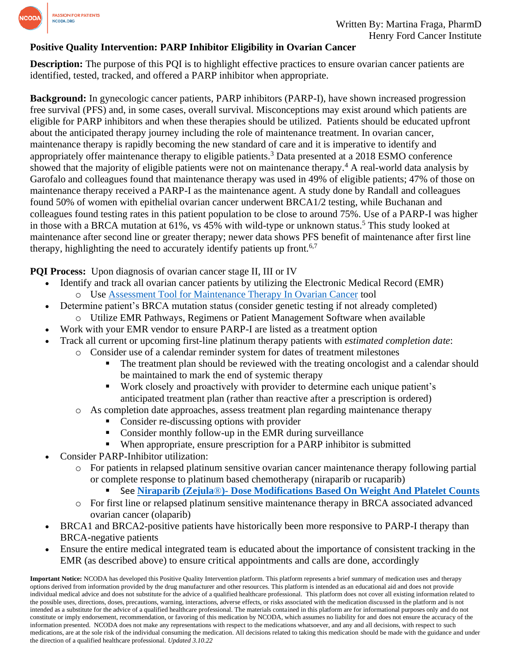

#### **Positive Quality Intervention: PARP Inhibitor Eligibility in Ovarian Cancer**

**Description:** The purpose of this PQI is to highlight effective practices to ensure ovarian cancer patients are identified, tested, tracked, and offered a PARP inhibitor when appropriate.

**Background:** In gynecologic cancer patients, PARP inhibitors (PARP-I), have shown increased progression free survival (PFS) and, in some cases, overall survival. Misconceptions may exist around which patients are eligible for PARP inhibitors and when these therapies should be utilized. Patients should be educated upfront about the anticipated therapy journey including the role of maintenance treatment. In ovarian cancer, maintenance therapy is rapidly becoming the new standard of care and it is imperative to identify and appropriately offer maintenance therapy to eligible patients.<sup>3</sup> Data presented at a 2018 ESMO conference showed that the majority of eligible patients were not on maintenance therapy.<sup>4</sup> A real-world data analysis by Garofalo and colleagues found that maintenance therapy was used in 49% of eligible patients; 47% of those on maintenance therapy received a PARP-I as the maintenance agent. A study done by Randall and colleagues found 50% of women with epithelial ovarian cancer underwent BRCA1/2 testing, while Buchanan and colleagues found testing rates in this patient population to be close to around 75%. Use of a PARP-I was higher in those with a BRCA mutation at 61%, vs 45% with wild-type or unknown status.<sup>5</sup> This study looked at maintenance after second line or greater therapy; newer data shows PFS benefit of maintenance after first line therapy, highlighting the need to accurately identify patients up front.<sup>6,7</sup>

#### **PQI Process:** Upon diagnosis of ovarian cancer stage II, III or IV

- Identify and track all ovarian cancer patients by utilizing the Electronic Medical Record (EMR) o Use [Assessment Tool for Maintenance Therapy In Ovarian Cancer](https://www.ncoda.org/assessment-tool-for-maintenance-therapy-in-ovarian-cancer/) tool
- Determine patient's BRCA mutation status (consider genetic testing if not already completed) o Utilize EMR Pathways, Regimens or Patient Management Software when available
	- Work with your EMR vendor to ensure PARP-I are listed as a treatment option
	- Track all current or upcoming first-line platinum therapy patients with *estimated completion date*:
		- o Consider use of a calendar reminder system for dates of treatment milestones
			- The treatment plan should be reviewed with the treating oncologist and a calendar should be maintained to mark the end of systemic therapy
			- Work closely and proactively with provider to determine each unique patient's anticipated treatment plan (rather than reactive after a prescription is ordered)
			- o As completion date approaches, assess treatment plan regarding maintenance therapy
				- Consider re-discussing options with provider
				- Consider monthly follow-up in the EMR during surveillance
				- When appropriate, ensure prescription for a PARP inhibitor is submitted
- Consider PARP-Inhibitor utilization:
	- o For patients in relapsed platinum sensitive ovarian cancer maintenance therapy following partial or complete response to platinum based chemotherapy (niraparib or rucaparib)
		- See **Niraparib (Zejula**®**)- [Dose Modifications Based On Weight And Platelet Counts](https://www.ncoda.org/niraparib-dose-adjustment-based-on-weight-and-platelet-counts/)**
	- o For first line or relapsed platinum sensitive maintenance therapy in BRCA associated advanced ovarian cancer (olaparib)
- BRCA1 and BRCA2-positive patients have historically been more responsive to PARP-I therapy than BRCA-negative patients
- Ensure the entire medical integrated team is educated about the importance of consistent tracking in the EMR (as described above) to ensure critical appointments and calls are done, accordingly

**Important Notice:** NCODA has developed this Positive Quality Intervention platform. This platform represents a brief summary of medication uses and therapy options derived from information provided by the drug manufacturer and other resources. This platform is intended as an educational aid and does not provide individual medical advice and does not substitute for the advice of a qualified healthcare professional. This platform does not cover all existing information related to the possible uses, directions, doses, precautions, warning, interactions, adverse effects, or risks associated with the medication discussed in the platform and is not intended as a substitute for the advice of a qualified healthcare professional. The materials contained in this platform are for informational purposes only and do not constitute or imply endorsement, recommendation, or favoring of this medication by NCODA, which assumes no liability for and does not ensure the accuracy of the information presented. NCODA does not make any representations with respect to the medications whatsoever, and any and all decisions, with respect to such medications, are at the sole risk of the individual consuming the medication. All decisions related to taking this medication should be made with the guidance and under the direction of a qualified healthcare professional. *Updated 3.10.22*